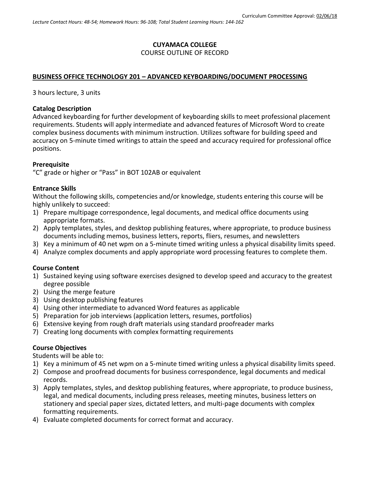#### **CUYAMACA COLLEGE** COURSE OUTLINE OF RECORD

## **BUSINESS OFFICE TECHNOLOGY 201 – ADVANCED KEYBOARDING/DOCUMENT PROCESSING**

3 hours lecture, 3 units

#### **Catalog Description**

Advanced keyboarding for further development of keyboarding skills to meet professional placement requirements. Students will apply intermediate and advanced features of Microsoft Word to create complex business documents with minimum instruction. Utilizes software for building speed and accuracy on 5-minute timed writings to attain the speed and accuracy required for professional office positions.

## **Prerequisite**

"C" grade or higher or "Pass" in BOT 102AB or equivalent

## **Entrance Skills**

Without the following skills, competencies and/or knowledge, students entering this course will be highly unlikely to succeed:

- 1) Prepare multipage correspondence, legal documents, and medical office documents using appropriate formats.
- 2) Apply templates, styles, and desktop publishing features, where appropriate, to produce business documents including memos, business letters, reports, fliers, resumes, and newsletters
- 3) Key a minimum of 40 net wpm on a 5-minute timed writing unless a physical disability limits speed.
- 4) Analyze complex documents and apply appropriate word processing features to complete them.

# **Course Content**

- 1) Sustained keying using software exercises designed to develop speed and accuracy to the greatest degree possible
- 2) Using the merge feature
- 3) Using desktop publishing features
- 4) Using other intermediate to advanced Word features as applicable
- 5) Preparation for job interviews (application letters, resumes, portfolios)
- 6) Extensive keying from rough draft materials using standard proofreader marks
- 7) Creating long documents with complex formatting requirements

# **Course Objectives**

Students will be able to:

- 1) Key a minimum of 45 net wpm on a 5-minute timed writing unless a physical disability limits speed.
- 2) Compose and proofread documents for business correspondence, legal documents and medical records.
- 3) Apply templates, styles, and desktop publishing features, where appropriate, to produce business, legal, and medical documents, including press releases, meeting minutes, business letters on stationery and special paper sizes, dictated letters, and multi-page documents with complex formatting requirements.
- 4) Evaluate completed documents for correct format and accuracy.